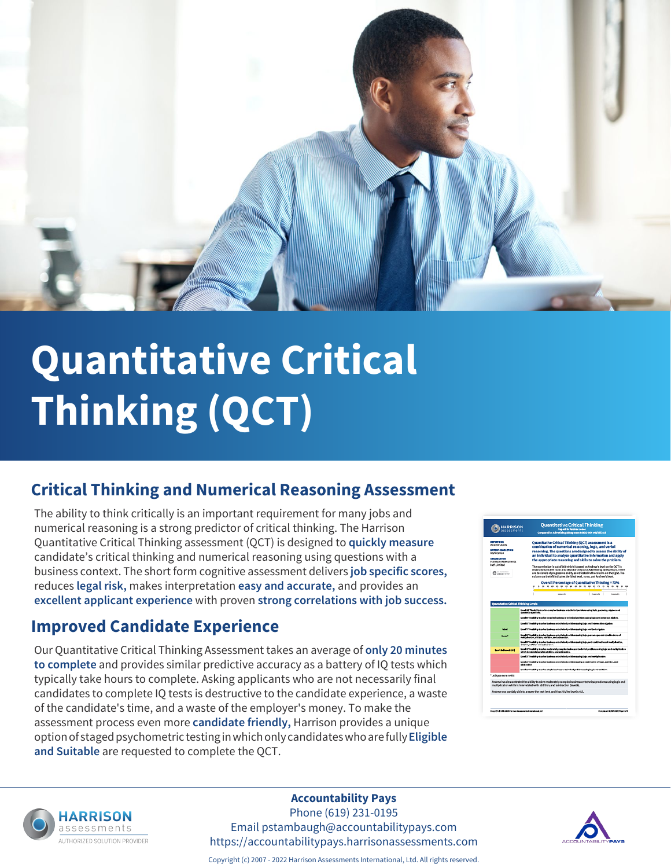

# **Quantitative Critical Thinking (QCT)**

## **Critical Thinking and Numerical Reasoning Assessment**

The ability to think critically is an important requirement for many jobs and numerical reasoning is a strong predictor of critical thinking. The Harrison Quantitative Critical Thinking assessment (QCT) is designed to **quickly measure** candidate's critical thinking and numerical reasoning using questions with a business context. The short form cognitive assessment delivers **job specific scores,** reduces **legal risk,** makes interpretation **easy and accurate,** and provides an **excellent applicant experience** with proven **strong correlations with job success.**

### **Improved Candidate Experience**

Our Quantitative Critical Thinking Assessment takes an average of **only 20 minutes to complete** and provides similar predictive accuracy as a battery of IQ tests which typically take hours to complete. Asking applicants who are not necessarily final candidates to complete IQ tests is destructive to the candidate experience, a waste of the candidate's time, and a waste of the employer's money. To make the assessment process even more **candidate friendly,** Harrison provides a unique option of staged psychometric testing in which only candidates who are fully **Eligible and Suitable** are requested to complete the QCT.





#### **Accountability Pays**

Phone (619) 231-0195 Email pstambaugh@accountabilitypays.com https://accountabilitypays.harrisonassessments.com



Copyright (c) 2007 - 2022 Harrison Assessments International, Ltd. All rights reserved.